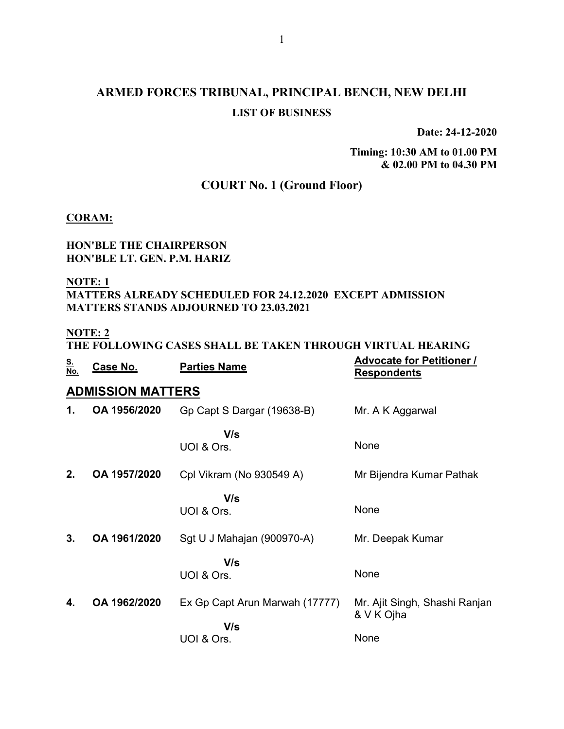# ARMED FORCES TRIBUNAL, PRINCIPAL BENCH, NEW DELHI LIST OF BUSINESS

Date: 24-12-2020

Timing: 10:30 AM to 01.00 PM & 02.00 PM to 04.30 PM

### COURT No. 1 (Ground Floor)

#### CORAM:

#### HON'BLE THE CHAIRPERSON HON'BLE LT. GEN. P.M. HARIZ

NOTE: 1

#### MATTERS ALREADY SCHEDULED FOR 24.12.2020 EXCEPT ADMISSION MATTERS STANDS ADJOURNED TO 23.03.2021

#### NOTE: 2

### THE FOLLOWING CASES SHALL BE TAKEN THROUGH VIRTUAL HEARING

| <u>S.</u><br>No. | Case No.                 | <b>Parties Name</b>            | <b>Advocate for Petitioner /</b><br><b>Respondents</b> |
|------------------|--------------------------|--------------------------------|--------------------------------------------------------|
|                  | <b>ADMISSION MATTERS</b> |                                |                                                        |
| 1.               | OA 1956/2020             | Gp Capt S Dargar (19638-B)     | Mr. A K Aggarwal                                       |
|                  |                          | V/s<br>UOI & Ors.              | None                                                   |
| 2.               | OA 1957/2020             | Cpl Vikram (No 930549 A)       | Mr Bijendra Kumar Pathak                               |
|                  |                          | V/s<br>UOI & Ors.              | None                                                   |
| 3.               | OA 1961/2020             | Sgt U J Mahajan (900970-A)     | Mr. Deepak Kumar                                       |
|                  |                          | V/s<br>UOI & Ors.              | None                                                   |
| 4.               | OA 1962/2020             | Ex Gp Capt Arun Marwah (17777) | Mr. Ajit Singh, Shashi Ranjan<br>& V K Ojha            |
|                  |                          | V/s<br>UOI & Ors.              | None                                                   |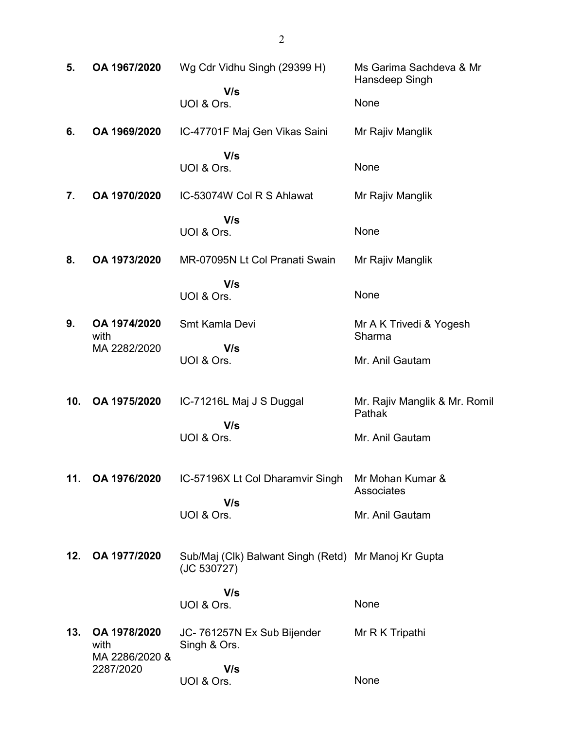| 5.  | OA 1967/2020                | Wg Cdr Vidhu Singh (29399 H)                                        | Ms Garima Sachdeva & Mr<br>Hansdeep Singh |
|-----|-----------------------------|---------------------------------------------------------------------|-------------------------------------------|
|     |                             | V/s<br>UOI & Ors.                                                   | None                                      |
| 6.  | OA 1969/2020                | IC-47701F Maj Gen Vikas Saini                                       | Mr Rajiv Manglik                          |
|     |                             | V/s<br>UOI & Ors.                                                   | None                                      |
| 7.  | OA 1970/2020                | IC-53074W Col R S Ahlawat                                           | Mr Rajiv Manglik                          |
|     |                             | V/s<br>UOI & Ors.                                                   | None                                      |
| 8.  | OA 1973/2020                | MR-07095N Lt Col Pranati Swain                                      | Mr Rajiv Manglik                          |
|     |                             | V/s<br>UOI & Ors.                                                   | None                                      |
| 9.  | OA 1974/2020<br>with        | Smt Kamla Devi                                                      | Mr A K Trivedi & Yogesh<br>Sharma         |
|     | MA 2282/2020                | V/s<br>UOI & Ors.                                                   | Mr. Anil Gautam                           |
| 10. | OA 1975/2020                | IC-71216L Maj J S Duggal                                            | Mr. Rajiv Manglik & Mr. Romil<br>Pathak   |
|     |                             | V/s<br>UOI & Ors.                                                   | Mr. Anil Gautam                           |
| 11. | OA 1976/2020                | IC-57196X Lt Col Dharamvir Singh                                    | Mr Mohan Kumar &<br>Associates            |
|     |                             | V/s<br>UOI & Ors.                                                   | Mr. Anil Gautam                           |
| 12. | OA 1977/2020                | Sub/Maj (Clk) Balwant Singh (Retd) Mr Manoj Kr Gupta<br>(JC 530727) |                                           |
|     |                             | V/s<br>UOI & Ors.                                                   | None                                      |
| 13. | OA 1978/2020<br>with        | JC-761257N Ex Sub Bijender<br>Singh & Ors.                          | Mr R K Tripathi                           |
|     | MA 2286/2020 &<br>2287/2020 | V/s<br>UOI & Ors.                                                   | None                                      |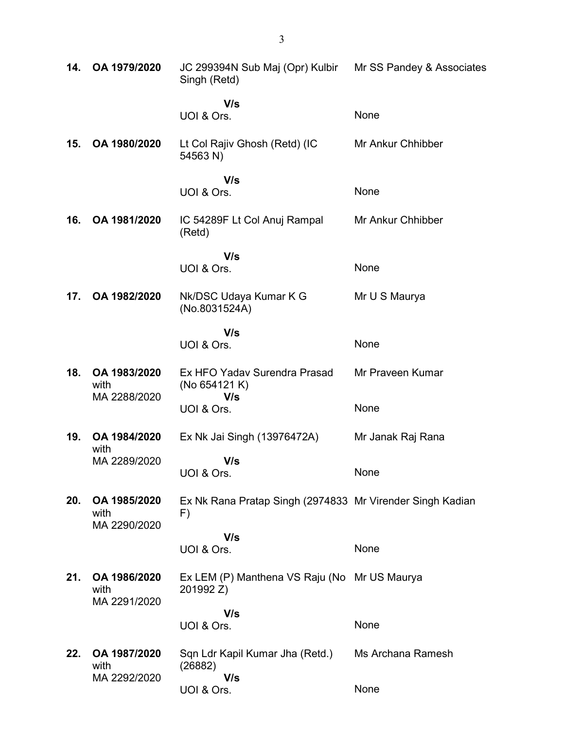| 14. | OA 1979/2020                         | JC 299394N Sub Maj (Opr) Kulbir Mr SS Pandey & Associates<br>Singh (Retd) |                   |
|-----|--------------------------------------|---------------------------------------------------------------------------|-------------------|
|     |                                      | V/s<br>UOI & Ors.                                                         | None              |
| 15. | OA 1980/2020                         | Lt Col Rajiv Ghosh (Retd) (IC<br>54563 N)                                 | Mr Ankur Chhibber |
|     |                                      | V/s<br>UOI & Ors.                                                         | None              |
| 16. | OA 1981/2020                         | IC 54289F Lt Col Anuj Rampal<br>(Retd)                                    | Mr Ankur Chhibber |
|     |                                      | V/s                                                                       | None              |
|     |                                      | UOI & Ors.                                                                |                   |
| 17. | OA 1982/2020                         | Nk/DSC Udaya Kumar K G<br>(No.8031524A)                                   | Mr U S Maurya     |
|     |                                      | V/s                                                                       |                   |
|     |                                      | UOI & Ors.                                                                | None              |
| 18. | OA 1983/2020<br>with                 | Ex HFO Yadav Surendra Prasad<br>(No 654121 K)                             | Mr Praveen Kumar  |
|     | MA 2288/2020                         | V/s<br>UOI & Ors.                                                         | None              |
| 19. | OA 1984/2020<br>with                 | Ex Nk Jai Singh (13976472A)                                               | Mr Janak Raj Rana |
|     | MA 2289/2020                         | V/s<br>UOI & Ors.                                                         | None              |
| 20. | OA 1985/2020<br>with<br>MA 2290/2020 | Ex Nk Rana Pratap Singh (2974833 Mr Virender Singh Kadian<br>F)           |                   |
|     |                                      | V/s                                                                       |                   |
|     |                                      | UOI & Ors.                                                                | None              |
| 21. | OA 1986/2020<br>with<br>MA 2291/2020 | Ex LEM (P) Manthena VS Raju (No Mr US Maurya<br>201992 Z)                 |                   |
|     |                                      | V/s                                                                       |                   |
|     |                                      | UOI & Ors.                                                                | None              |
| 22. | OA 1987/2020<br>with                 | Sqn Ldr Kapil Kumar Jha (Retd.)<br>(26882)                                | Ms Archana Ramesh |
|     | MA 2292/2020                         | V/s<br>UOI & Ors.                                                         | None              |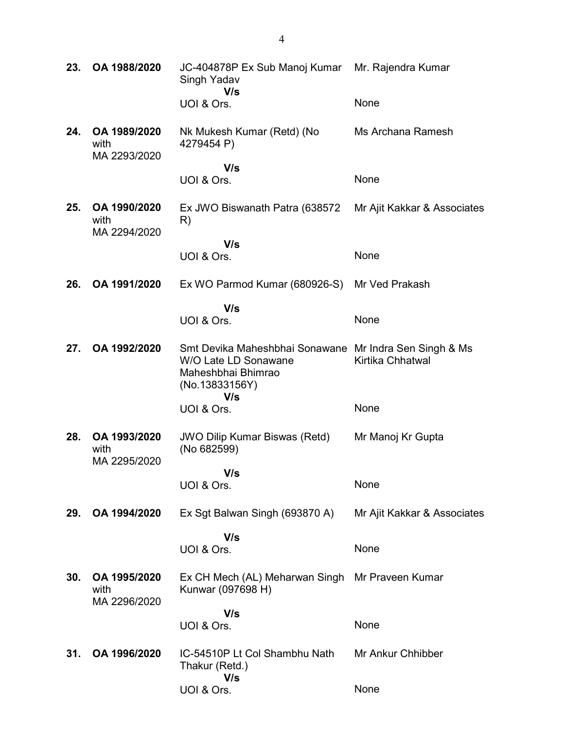| 23. | OA 1988/2020                         | JC-404878P Ex Sub Manoj Kumar Mr. Rajendra Kumar<br>Singh Yadav<br>V/s                                                        |                             |
|-----|--------------------------------------|-------------------------------------------------------------------------------------------------------------------------------|-----------------------------|
|     |                                      | UOI & Ors.                                                                                                                    | None                        |
| 24. | OA 1989/2020<br>with<br>MA 2293/2020 | Nk Mukesh Kumar (Retd) (No<br>4279454 P)                                                                                      | Ms Archana Ramesh           |
|     |                                      | V/s<br>UOI & Ors.                                                                                                             | None                        |
| 25. | OA 1990/2020<br>with<br>MA 2294/2020 | Ex JWO Biswanath Patra (638572)<br>R)                                                                                         | Mr Ajit Kakkar & Associates |
|     |                                      | V/s<br>UOI & Ors.                                                                                                             | None                        |
| 26. | OA 1991/2020                         | Ex WO Parmod Kumar (680926-S)                                                                                                 | Mr Ved Prakash              |
|     |                                      | V/s<br>UOI & Ors.                                                                                                             | None                        |
| 27. | OA 1992/2020                         | Smt Devika Maheshbhai Sonawane Mr Indra Sen Singh & Ms<br>W/O Late LD Sonawane<br>Maheshbhai Bhimrao<br>(No.13833156Y)<br>V/s | Kirtika Chhatwal            |
|     |                                      | UOI & Ors.                                                                                                                    | None                        |
| 28. | OA 1993/2020<br>with<br>MA 2295/2020 | <b>JWO Dilip Kumar Biswas (Retd)</b><br>(No 682599)                                                                           | Mr Manoj Kr Gupta           |
|     |                                      | V/s<br>UOI & Ors.                                                                                                             | None                        |
|     |                                      |                                                                                                                               |                             |
| 29. | OA 1994/2020                         | Ex Sgt Balwan Singh (693870 A)                                                                                                | Mr Ajit Kakkar & Associates |
|     |                                      | V/s<br>UOI & Ors.                                                                                                             | None                        |
| 30. | OA 1995/2020<br>with<br>MA 2296/2020 | Ex CH Mech (AL) Meharwan Singh<br>Kunwar (097698 H)                                                                           | Mr Praveen Kumar            |
|     |                                      | V/s<br>UOI & Ors.                                                                                                             | None                        |
|     |                                      |                                                                                                                               |                             |
| 31. | OA 1996/2020                         | IC-54510P Lt Col Shambhu Nath<br>Thakur (Retd.)<br>V/s                                                                        | Mr Ankur Chhibber           |
|     |                                      | UOI & Ors.                                                                                                                    | None                        |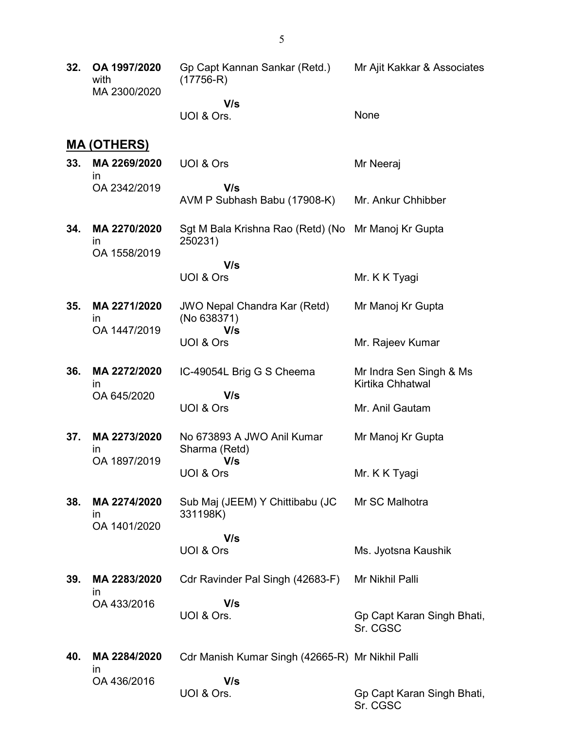| 32. | OA 1997/2020<br>with<br>MA 2300/2020         | Gp Capt Kannan Sankar (Retd.)<br>$(17756-R)$       | Mr Ajit Kakkar & Associates                 |
|-----|----------------------------------------------|----------------------------------------------------|---------------------------------------------|
|     |                                              | V/s<br>UOI & Ors.                                  | None                                        |
|     | <u>MA (OTHERS)</u>                           |                                                    |                                             |
| 33. | MA 2269/2020<br>$\mathsf{I}$                 | UOI & Ors                                          | Mr Neeraj                                   |
|     | OA 2342/2019                                 | V/s<br>AVM P Subhash Babu (17908-K)                | Mr. Ankur Chhibber                          |
| 34. | MA 2270/2020<br>in<br>OA 1558/2019           | Sgt M Bala Krishna Rao (Retd) (No<br>250231)       | Mr Manoj Kr Gupta                           |
|     |                                              | V/s<br>UOI & Ors                                   | Mr. K K Tyagi                               |
| 35. | MA 2271/2020<br>ın                           | <b>JWO Nepal Chandra Kar (Retd)</b><br>(No 638371) | Mr Manoj Kr Gupta                           |
|     | OA 1447/2019                                 | V/s<br>UOI & Ors                                   | Mr. Rajeev Kumar                            |
| 36. | MA 2272/2020<br>ın                           | IC-49054L Brig G S Cheema                          | Mr Indra Sen Singh & Ms<br>Kirtika Chhatwal |
|     | OA 645/2020                                  | V/s<br>UOI & Ors                                   | Mr. Anil Gautam                             |
| 37. | MA 2273/2020<br>$\mathsf{I}$<br>OA 1897/2019 | No 673893 A JWO Anil Kumar<br>Sharma (Retd)        | Mr Manoj Kr Gupta                           |
|     |                                              | V/s<br>UOI & Ors                                   | Mr. K K Tyagi                               |
| 38. | MA 2274/2020<br>$\mathsf{I}$<br>OA 1401/2020 | Sub Maj (JEEM) Y Chittibabu (JC<br>331198K)        | Mr SC Malhotra                              |
|     |                                              | V/s<br>UOI & Ors                                   | Ms. Jyotsna Kaushik                         |
| 39. | MA 2283/2020<br>$\mathsf{I}$                 | Cdr Ravinder Pal Singh (42683-F)                   | Mr Nikhil Palli                             |
|     | OA 433/2016                                  | V/s<br>UOI & Ors.                                  | Gp Capt Karan Singh Bhati,<br>Sr. CGSC      |
| 40. | MA 2284/2020<br>$\mathsf{I}$                 | Cdr Manish Kumar Singh (42665-R) Mr Nikhil Palli   |                                             |
|     | OA 436/2016                                  | V/s<br>UOI & Ors.                                  | Gp Capt Karan Singh Bhati,<br>Sr. CGSC      |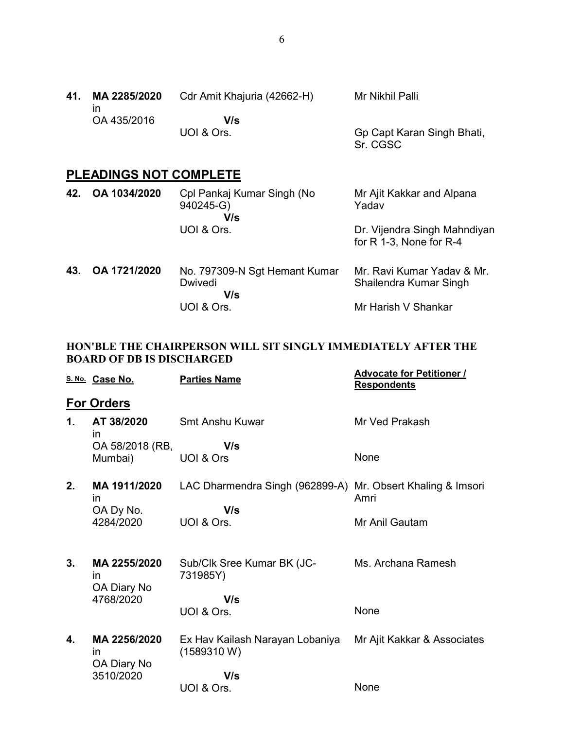| 41. | MA 2285/2020 | Cdr Amit Khajuria (42662-H) | Mr Nikhil Palli            |
|-----|--------------|-----------------------------|----------------------------|
|     | OA 435/2016  | V/s                         |                            |
|     |              | UOI & Ors.                  | Gp Capt Karan Singh Bhati, |

Sr. CGSC

# PLEADINGS NOT COMPLETE

| 42. | OA 1034/2020 | Cpl Pankaj Kumar Singh (No<br>940245-G)<br>V/s         | Mr Ajit Kakkar and Alpana<br>Yadav                          |
|-----|--------------|--------------------------------------------------------|-------------------------------------------------------------|
|     |              | UOI & Ors.                                             | Dr. Vijendra Singh Mahndiyan<br>for $R$ 1-3, None for $R-4$ |
| 43. | OA 1721/2020 | No. 797309-N Sgt Hemant Kumar<br><b>Dwivedi</b><br>V/s | Mr. Ravi Kumar Yaday & Mr.<br>Shailendra Kumar Singh        |
|     |              | UOI & Ors.                                             | Mr Harish V Shankar                                         |

#### HON'BLE THE CHAIRPERSON WILL SIT SINGLY IMMEDIATELY AFTER THE BOARD OF DB IS DISCHARGED

|    | S. No. Case No.                   | <b>Parties Name</b>                                         | <b>Advocate for Petitioner /</b><br><b>Respondents</b> |
|----|-----------------------------------|-------------------------------------------------------------|--------------------------------------------------------|
|    | <b>For Orders</b>                 |                                                             |                                                        |
| 1. | AT 38/2020<br>in                  | Smt Anshu Kuwar                                             | Mr Ved Prakash                                         |
|    | OA 58/2018 (RB,                   | V/s                                                         |                                                        |
|    | Mumbai)                           | UOI & Ors                                                   | None                                                   |
| 2. | MA 1911/2020<br>$\mathsf{In}$     | LAC Dharmendra Singh (962899-A) Mr. Obsert Khaling & Imsori | Amri                                                   |
|    | OA Dy No.<br>4284/2020            | V/s<br>UOI & Ors.                                           | Mr Anil Gautam                                         |
| 3. | MA 2255/2020<br>in<br>OA Diary No | Sub/Clk Sree Kumar BK (JC-<br>731985Y)                      | Ms. Archana Ramesh                                     |
|    | 4768/2020                         | V/s                                                         |                                                        |
|    |                                   | UOI & Ors.                                                  | None                                                   |
| 4. | MA 2256/2020<br>in<br>OA Diary No | Ex Hav Kailash Narayan Lobaniya<br>(1589310 W)              | Mr Ajit Kakkar & Associates                            |
|    | 3510/2020                         | V/s                                                         |                                                        |
|    |                                   | UOI & Ors.                                                  | None                                                   |